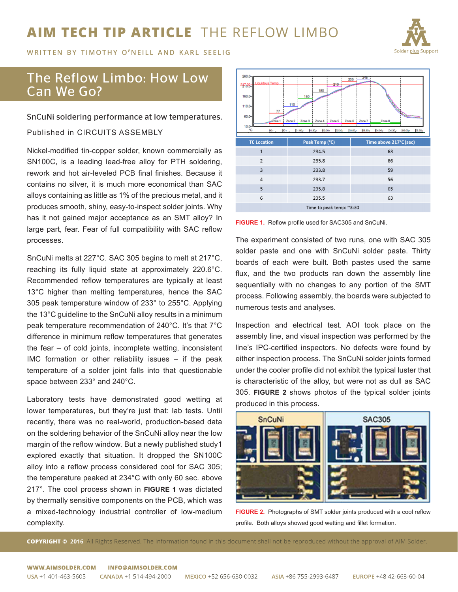# **AIM TECH TIP ARTICLE** THE REFLOW LIMBO



**WRITTEN BY TIMOTHY O'NEILL AND KARL SEELIG** 

## The Reflow Limbo: How Low Can We Go?

SnCuNi soldering performance at low temperatures.

Published in CIRCUITS ASSEMBLY

Nickel-modified tin-copper solder, known commercially as SN100C, is a leading lead-free alloy for PTH soldering, rework and hot air-leveled PCB final finishes. Because it contains no silver, it is much more economical than SAC alloys containing as little as 1% of the precious metal, and it produces smooth, shiny, easy-to-inspect solder joints. Why has it not gained major acceptance as an SMT alloy? In large part, fear. Fear of full compatibility with SAC reflow processes.

SnCuNi melts at 227°C. SAC 305 begins to melt at 217°C, reaching its fully liquid state at approximately 220.6°C. Recommended reflow temperatures are typically at least 13°C higher than melting temperatures, hence the SAC 305 peak temperature window of 233° to 255°C. Applying the 13°C guideline to the SnCuNi alloy results in a minimum peak temperature recommendation of 240°C. It's that 7°C difference in minimum reflow temperatures that generates the fear – of cold joints, incomplete wetting, inconsistent IMC formation or other reliability issues – if the peak temperature of a solder joint falls into that questionable space between 233° and 240°C.

Laboratory tests have demonstrated good wetting at lower temperatures, but they're just that: lab tests. Until recently, there was no real-world, production-based data on the soldering behavior of the SnCuNi alloy near the low margin of the reflow window. But a newly published study1 explored exactly that situation. It dropped the SN100C alloy into a reflow process considered cool for SAC 305; the temperature peaked at 234°C with only 60 sec. above 217°. The cool process shown in **FIGURE 1** was dictated by thermally sensitive components on the PCB, which was a mixed-technology industrial controller of low-medium complexity.

| $260.0 -$<br>245<br>235<br>iquidous Temp<br>210<br>23768=<br>180<br>160.0<br>150<br>Controller Report<br>110<br>110.0<br>77<br>60.0-<br>Zone 2<br>Zone 3 Zone 4 Zone 5 Zone 6 Zone 7<br>$Z$ one 1<br>Zone 8<br>$10.0 -$<br>°C<br>05:00 r<br>po r<br>D4:00 r<br><b>D4:30 r</b><br>DS:30 r<br>30r<br><b>b1:30 r</b><br>02:00r<br>100:80<br>01:00 r<br>02:30 r<br>108:80 |                |                        |
|-----------------------------------------------------------------------------------------------------------------------------------------------------------------------------------------------------------------------------------------------------------------------------------------------------------------------------------------------------------------------|----------------|------------------------|
| <b>TC Location</b>                                                                                                                                                                                                                                                                                                                                                    | Peak Temp (°C) | Time above 217°C (sec) |
| $\mathbf{1}$                                                                                                                                                                                                                                                                                                                                                          | 234.5          | 63                     |
| $\overline{2}$                                                                                                                                                                                                                                                                                                                                                        | 235.8          | 66                     |
| $\overline{3}$                                                                                                                                                                                                                                                                                                                                                        | 233.8          | 59                     |
| $\overline{4}$                                                                                                                                                                                                                                                                                                                                                        | 233.7          | 56                     |
| 5                                                                                                                                                                                                                                                                                                                                                                     | 235.8          | 65                     |
| 6                                                                                                                                                                                                                                                                                                                                                                     | 235.5          | 63                     |
| Time to peak temp: ~3:30                                                                                                                                                                                                                                                                                                                                              |                |                        |



The experiment consisted of two runs, one with SAC 305 solder paste and one with SnCuNi solder paste. Thirty boards of each were built. Both pastes used the same flux, and the two products ran down the assembly line sequentially with no changes to any portion of the SMT process. Following assembly, the boards were subjected to numerous tests and analyses.

Inspection and electrical test. AOI took place on the assembly line, and visual inspection was performed by the line's IPC-certified inspectors. No defects were found by either inspection process. The SnCuNi solder joints formed under the cooler profile did not exhibit the typical luster that is characteristic of the alloy, but were not as dull as SAC 305. **FIGURE 2** shows photos of the typical solder joints produced in this process.



**FIGURE 2.** Photographs of SMT solder joints produced with a cool reflow profile. Both alloys showed good wetting and fillet formation.

**COPYRIGHT © 2016** All Rights Reserved. The information found in this document shall not be reproduced without the approval of AIM Solder.

#### WWW.AIMSOLDER.COM INFO@AIMSOLDER.COM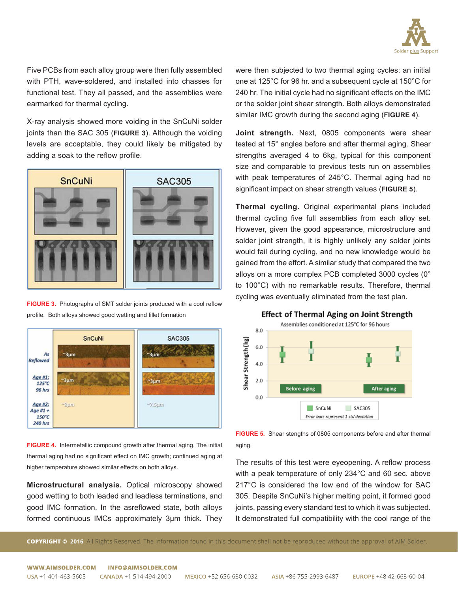

Five PCBs from each alloy group were then fully assembled with PTH, wave-soldered, and installed into chasses for functional test. They all passed, and the assemblies were earmarked for thermal cycling.

X-ray analysis showed more voiding in the SnCuNi solder joints than the SAC 305 (**FIGURE 3**). Although the voiding levels are acceptable, they could likely be mitigated by adding a soak to the reflow profile.



**FIGURE 3.** Photographs of SMT solder joints produced with a cool reflow profile. Both alloys showed good wetting and fillet formation



**FIGURE 4.** Intermetallic compound growth after thermal aging. The initial thermal aging had no significant effect on IMC growth; continued aging at higher temperature showed similar effects on both alloys.

**Microstructural analysis.** Optical microscopy showed good wetting to both leaded and leadless terminations, and good IMC formation. In the asreflowed state, both alloys formed continuous IMCs approximately 3μm thick. They

were then subjected to two thermal aging cycles: an initial one at 125°C for 96 hr. and a subsequent cycle at 150°C for 240 hr. The initial cycle had no significant effects on the IMC or the solder joint shear strength. Both alloys demonstrated similar IMC growth during the second aging (**FIGURE 4**).

**Joint strength.** Next, 0805 components were shear tested at 15° angles before and after thermal aging. Shear strengths averaged 4 to 6kg, typical for this component size and comparable to previous tests run on assemblies with peak temperatures of 245°C. Thermal aging had no significant impact on shear strength values (**FIGURE 5**).

**Thermal cycling.** Original experimental plans included thermal cycling five full assemblies from each alloy set. However, given the good appearance, microstructure and solder joint strength, it is highly unlikely any solder joints would fail during cycling, and no new knowledge would be gained from the effort. A similar study that compared the two alloys on a more complex PCB completed 3000 cycles (0° to 100°C) with no remarkable results. Therefore, thermal cycling was eventually eliminated from the test plan.



## **Effect of Thermal Aging on Joint Strength**

**FIGURE 5.** Shear stengths of 0805 components before and after thermal aging.

The results of this test were eyeopening. A reflow process with a peak temperature of only 234°C and 60 sec. above 217°C is considered the low end of the window for SAC 305. Despite SnCuNi's higher melting point, it formed good joints, passing every standard test to which it was subjected. It demonstrated full compatibility with the cool range of the

**COPYRIGHT © 2016** All Rights Reserved. The information found in this document shall not be reproduced without the approval of AIM Solder.

WWW.AIMSOLDER.COM **INFO@AIMSOLDER.COM** 

EUROPE +48 42-663-60-04 ASIA +86 755-2993-6487